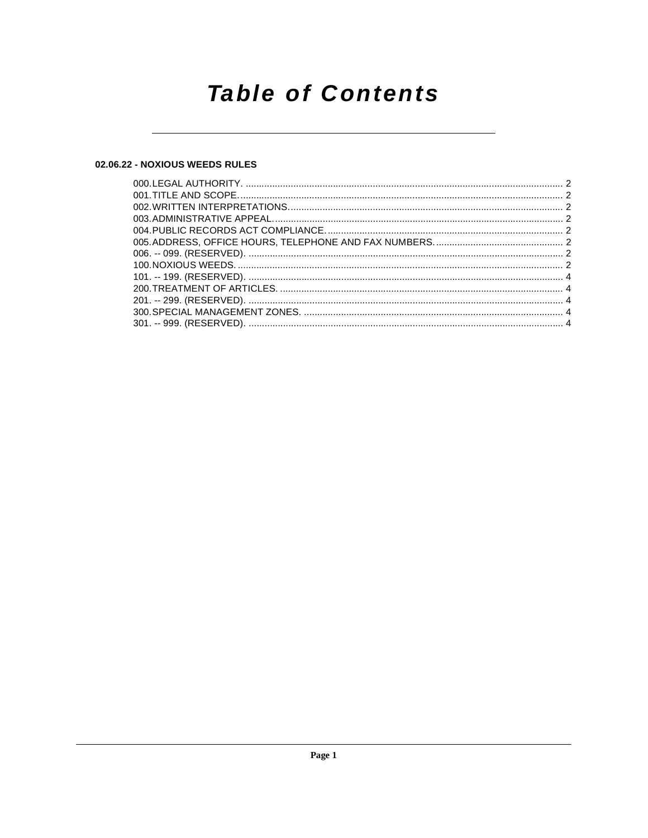## **Table of Contents**

## 02.06.22 - NOXIOUS WEEDS RULES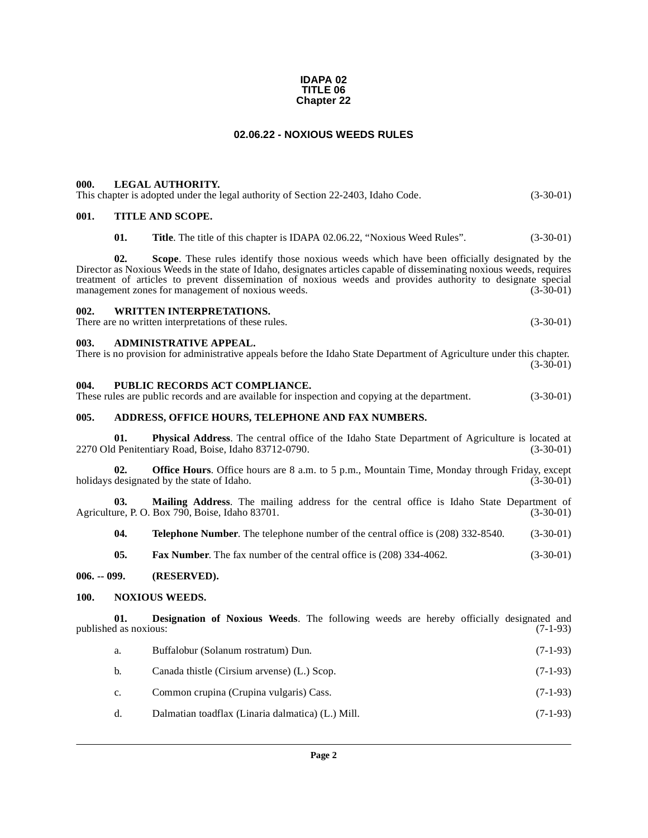#### **IDAPA 02 TITLE 06 Chapter 22**

## **02.06.22 - NOXIOUS WEEDS RULES**

#### <span id="page-1-1"></span><span id="page-1-0"></span>**000. LEGAL AUTHORITY.**

|  |  |  | This chapter is adopted under the legal authority of Section 22-2403, Idaho Code. | $(3-30-01)$ |
|--|--|--|-----------------------------------------------------------------------------------|-------------|

## <span id="page-1-2"></span>**001. TITLE AND SCOPE.**

**01.** Title. The title of this chapter is IDAPA 02.06.22, "Noxious Weed Rules". (3-30-01)

**02. Scope**. These rules identify those noxious weeds which have been officially designated by the Director as Noxious Weeds in the state of Idaho, designates articles capable of disseminating noxious weeds, requires treatment of articles to prevent dissemination of noxious weeds and provides authority to designate special management zones for management of noxious weeds. (3-30-01) management zones for management of noxious weeds.

#### <span id="page-1-3"></span>**002. WRITTEN INTERPRETATIONS.**

There are no written interpretations of these rules. (3-30-01)

#### <span id="page-1-4"></span>**003. ADMINISTRATIVE APPEAL.**

There is no provision for administrative appeals before the Idaho State Department of Agriculture under this chapter. (3-30-01)

#### <span id="page-1-5"></span>**004. PUBLIC RECORDS ACT COMPLIANCE.**

These rules are public records and are available for inspection and copying at the department. (3-30-01)

## <span id="page-1-6"></span>**005. ADDRESS, OFFICE HOURS, TELEPHONE AND FAX NUMBERS.**

**01. Physical Address**. The central office of the Idaho State Department of Agriculture is located at 2270 Old Penitentiary Road, Boise, Idaho 83712-0790. (3-30-01)

**02. Office Hours**. Office hours are 8 a.m. to 5 p.m., Mountain Time, Monday through Friday, except designated by the state of Idaho. (3-30-01) holidays designated by the state of Idaho.

**03. Mailing Address**. The mailing address for the central office is Idaho State Department of Agriculture, P. O. Box 790, Boise, Idaho 83701. (3-30-01)

**04. Telephone Number**. The telephone number of the central office is (208) 332-8540. (3-30-01)

<span id="page-1-10"></span>**05. Fax Number**. The fax number of the central office is (208) 334-4062. (3-30-01)

#### <span id="page-1-7"></span>**006. -- 099. (RESERVED).**

### <span id="page-1-8"></span>**100. NOXIOUS WEEDS.**

**01. Designation of Noxious Weeds**. The following weeds are hereby officially designated and d as noxious: (7-1-93) published as noxious:

- <span id="page-1-9"></span>a. Buffalobur (Solanum rostratum) Dun. (7-1-93)
- b. Canada thistle (Cirsium arvense) (L.) Scop. (7-1-93)
- c. Common crupina (Crupina vulgaris) Cass. (7-1-93)
- d. Dalmatian toadflax (Linaria dalmatica) (L.) Mill. (7-1-93)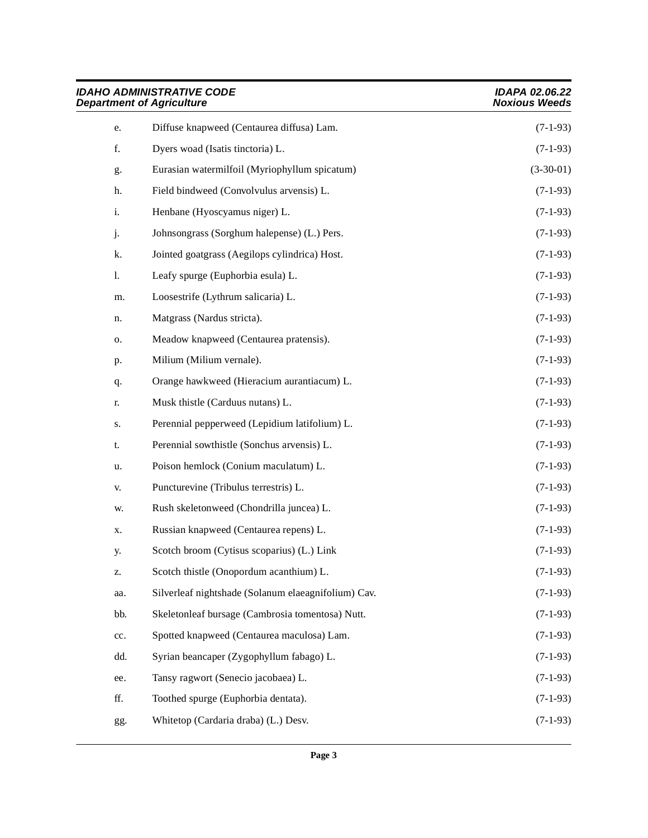|     | <b>IDAHO ADMINISTRATIVE CODE</b><br><b>Department of Agriculture</b> | <b>IDAPA 02.06.22</b><br><b>Noxious Weeds</b> |  |
|-----|----------------------------------------------------------------------|-----------------------------------------------|--|
| e.  | Diffuse knapweed (Centaurea diffusa) Lam.                            | $(7-1-93)$                                    |  |
| f.  | Dyers woad (Isatis tinctoria) L.                                     | $(7-1-93)$                                    |  |
| g.  | Eurasian watermilfoil (Myriophyllum spicatum)                        | $(3-30-01)$                                   |  |
| h.  | Field bindweed (Convolvulus arvensis) L.                             | $(7-1-93)$                                    |  |
| i.  | Henbane (Hyoscyamus niger) L.                                        | $(7-1-93)$                                    |  |
| j.  | Johnsongrass (Sorghum halepense) (L.) Pers.                          | $(7-1-93)$                                    |  |
| k.  | Jointed goatgrass (Aegilops cylindrica) Host.                        | $(7-1-93)$                                    |  |
| 1.  | Leafy spurge (Euphorbia esula) L.                                    | $(7-1-93)$                                    |  |
| m.  | Loosestrife (Lythrum salicaria) L.                                   | $(7-1-93)$                                    |  |
| n.  | Matgrass (Nardus stricta).                                           | $(7-1-93)$                                    |  |
| о.  | Meadow knapweed (Centaurea pratensis).                               | $(7-1-93)$                                    |  |
| p.  | Milium (Milium vernale).                                             | $(7-1-93)$                                    |  |
| q.  | Orange hawkweed (Hieracium aurantiacum) L.                           | $(7-1-93)$                                    |  |
| r.  | Musk thistle (Carduus nutans) L.                                     | $(7-1-93)$                                    |  |
| S.  | Perennial pepperweed (Lepidium latifolium) L.                        | $(7-1-93)$                                    |  |
| t.  | Perennial sowthistle (Sonchus arvensis) L.                           | $(7-1-93)$                                    |  |
| u.  | Poison hemlock (Conium maculatum) L.                                 | $(7-1-93)$                                    |  |
| V.  | Puncturevine (Tribulus terrestris) L.                                | $(7-1-93)$                                    |  |
| W.  | Rush skeletonweed (Chondrilla juncea) L.                             | $(7-1-93)$                                    |  |
| Х.  | Russian knapweed (Centaurea repens) L.                               | $(7-1-93)$                                    |  |
| у.  | Scotch broom (Cytisus scoparius) (L.) Link                           | $(7-1-93)$                                    |  |
| Z.  | Scotch thistle (Onopordum acanthium) L.                              | $(7-1-93)$                                    |  |
| aa. | Silverleaf nightshade (Solanum elaeagnifolium) Cav.                  | $(7-1-93)$                                    |  |
| bb. | Skeletonleaf bursage (Cambrosia tomentosa) Nutt.                     | $(7-1-93)$                                    |  |
| cc. | Spotted knapweed (Centaurea maculosa) Lam.                           | $(7-1-93)$                                    |  |
| dd. | Syrian beancaper (Zygophyllum fabago) L.                             | $(7-1-93)$                                    |  |
| ee. | Tansy ragwort (Senecio jacobaea) L.                                  | $(7-1-93)$                                    |  |
| ff. | Toothed spurge (Euphorbia dentata).                                  | $(7-1-93)$                                    |  |
| gg. | Whitetop (Cardaria draba) (L.) Desv.                                 | $(7-1-93)$                                    |  |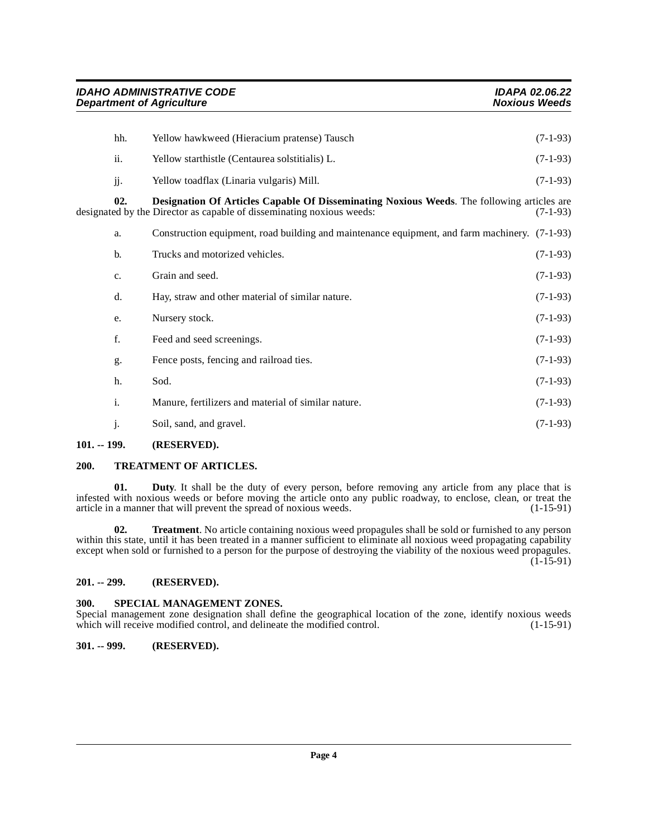<span id="page-3-5"></span>

| hh.            | Yellow hawkweed (Hieracium pratense) Tausch                                                                                                                         | $(7-1-93)$ |
|----------------|---------------------------------------------------------------------------------------------------------------------------------------------------------------------|------------|
| ii.            | Yellow starthistle (Centaurea solstitialis) L.                                                                                                                      | $(7-1-93)$ |
| jj.            | Yellow toadflax (Linaria vulgaris) Mill.                                                                                                                            | $(7-1-93)$ |
| 02.            | Designation Of Articles Capable Of Disseminating Noxious Weeds. The following articles are<br>designated by the Director as capable of disseminating noxious weeds: | $(7-1-93)$ |
| a.             | Construction equipment, road building and maintenance equipment, and farm machinery. (7-1-93)                                                                       |            |
| $\mathbf{b}$ . | Trucks and motorized vehicles.                                                                                                                                      | $(7-1-93)$ |
| c.             | Grain and seed.                                                                                                                                                     | $(7-1-93)$ |
| d.             | Hay, straw and other material of similar nature.                                                                                                                    | $(7-1-93)$ |
| e.             | Nursery stock.                                                                                                                                                      | $(7-1-93)$ |
| f.             | Feed and seed screenings.                                                                                                                                           | $(7-1-93)$ |
| g.             | Fence posts, fencing and railroad ties.                                                                                                                             | $(7-1-93)$ |
| h.             | Sod.                                                                                                                                                                | $(7-1-93)$ |
| i.             | Manure, fertilizers and material of similar nature.                                                                                                                 | $(7-1-93)$ |
| j.             | Soil, sand, and gravel.                                                                                                                                             | $(7-1-93)$ |
|                |                                                                                                                                                                     |            |

## <span id="page-3-0"></span>**101. -- 199. (RESERVED).**

## <span id="page-3-7"></span><span id="page-3-1"></span>**200. TREATMENT OF ARTICLES.**

**01.** Duty. It shall be the duty of every person, before removing any article from any place that is infested with noxious weeds or before moving the article onto any public roadway, to enclose, clean, or treat the article in a manner that will prevent the spread of noxious weeds. (1-15-91) article in a manner that will prevent the spread of noxious weeds.

<span id="page-3-8"></span>**02. Treatment**. No article containing noxious weed propagules shall be sold or furnished to any person within this state, until it has been treated in a manner sufficient to eliminate all noxious weed propagating capability except when sold or furnished to a person for the purpose of destroying the viability of the noxious weed propagules. (1-15-91)

## <span id="page-3-2"></span>**201. -- 299. (RESERVED).**

### <span id="page-3-6"></span><span id="page-3-3"></span>**300. SPECIAL MANAGEMENT ZONES.**

Special management zone designation shall define the geographical location of the zone, identify noxious weeds which will receive modified control, and delineate the modified control. (1-15-91) which will receive modified control, and delineate the modified control.

## <span id="page-3-4"></span>**301. -- 999. (RESERVED).**